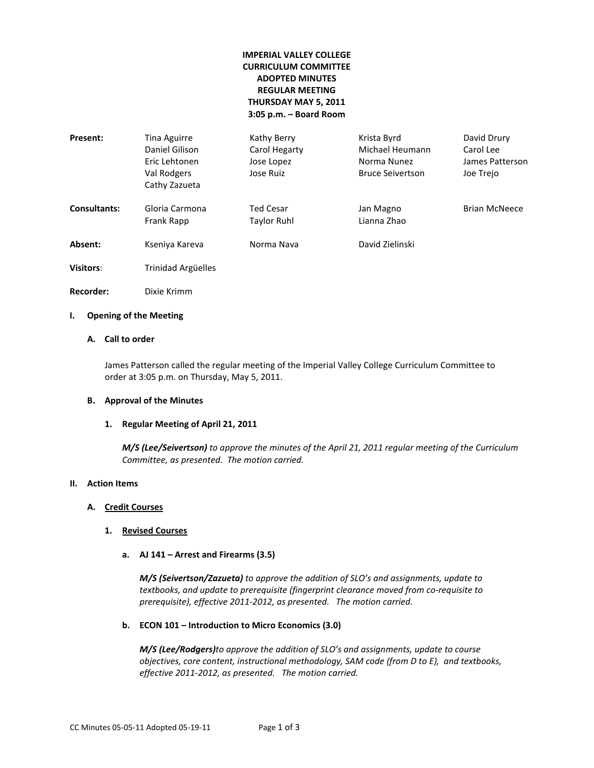# **IMPERIAL VALLEY COLLEGE CURRICULUM COMMITTEE ADOPTED MINUTES REGULAR MEETING THURSDAY MAY 5, 2011 3:05 p.m. – Board Room**

| Present:            | Tina Aguirre<br>Daniel Gilison<br>Eric Lehtonen<br>Val Rodgers<br>Cathy Zazueta | Kathy Berry<br>Carol Hegarty<br>Jose Lopez<br>Jose Ruiz | Krista Byrd<br>Michael Heumann<br>Norma Nunez<br><b>Bruce Seivertson</b> | David Drury<br>Carol Lee<br>James Patterson<br>Joe Trejo |
|---------------------|---------------------------------------------------------------------------------|---------------------------------------------------------|--------------------------------------------------------------------------|----------------------------------------------------------|
| <b>Consultants:</b> | Gloria Carmona<br>Frank Rapp                                                    | <b>Ted Cesar</b><br><b>Taylor Ruhl</b>                  | Jan Magno<br>Lianna Zhao                                                 | <b>Brian McNeece</b>                                     |
| Absent:             | Kseniya Kareva                                                                  | Norma Nava                                              | David Zielinski                                                          |                                                          |
| <b>Visitors:</b>    | Trinidad Argüelles                                                              |                                                         |                                                                          |                                                          |
| Recorder:           | Dixie Krimm                                                                     |                                                         |                                                                          |                                                          |

## **I. Opening of the Meeting**

# **A. Call to order**

James Patterson called the regular meeting of the Imperial Valley College Curriculum Committee to order at 3:05 p.m. on Thursday, May 5, 2011.

## **B. Approval of the Minutes**

#### **1. Regular Meeting of April 21, 2011**

*M/S (Lee/Seivertson) to approve the minutes of the April 21, 2011 regular meeting of the Curriculum Committee, as presented. The motion carried.*

#### **II. Action Items**

## **A. Credit Courses**

## **1. Revised Courses**

**a. AJ 141 – Arrest and Firearms (3.5)**

*M/S (Seivertson/Zazueta) to approve the addition of SLO's and assignments, update to textbooks, and update to prerequisite (fingerprint clearance moved from co-requisite to prerequisite), effective 2011-2012, as presented. The motion carried.*

## **b. ECON 101 – Introduction to Micro Economics (3.0)**

*M/S (Lee/Rodgers)to approve the addition of SLO's and assignments, update to course objectives, core content, instructional methodology, SAM code (from D to E), and textbooks, effective 2011-2012, as presented. The motion carried.*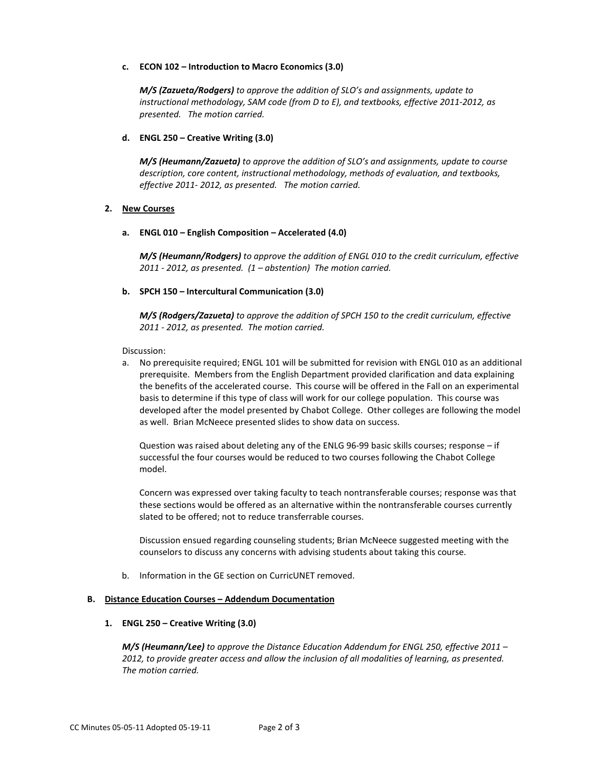### **c. ECON 102 – Introduction to Macro Economics (3.0)**

*M/S (Zazueta/Rodgers) to approve the addition of SLO's and assignments, update to instructional methodology, SAM code (from D to E), and textbooks, effective 2011-2012, as presented. The motion carried.*

## **d. ENGL 250 – Creative Writing (3.0)**

*M/S (Heumann/Zazueta) to approve the addition of SLO's and assignments, update to course description, core content, instructional methodology, methods of evaluation, and textbooks, effective 2011- 2012, as presented. The motion carried.*

## **2. New Courses**

## **a. ENGL 010 – English Composition – Accelerated (4.0)**

*M/S (Heumann/Rodgers) to approve the addition of ENGL 010 to the credit curriculum, effective 2011 - 2012, as presented. (1 – abstention) The motion carried.*

## **b. SPCH 150 – Intercultural Communication (3.0)**

*M/S (Rodgers/Zazueta) to approve the addition of SPCH 150 to the credit curriculum, effective 2011 - 2012, as presented. The motion carried.*

Discussion:

a. No prerequisite required; ENGL 101 will be submitted for revision with ENGL 010 as an additional prerequisite. Members from the English Department provided clarification and data explaining the benefits of the accelerated course. This course will be offered in the Fall on an experimental basis to determine if this type of class will work for our college population. This course was developed after the model presented by Chabot College. Other colleges are following the model as well. Brian McNeece presented slides to show data on success.

Question was raised about deleting any of the ENLG 96-99 basic skills courses; response – if successful the four courses would be reduced to two courses following the Chabot College model.

Concern was expressed over taking faculty to teach nontransferable courses; response was that these sections would be offered as an alternative within the nontransferable courses currently slated to be offered; not to reduce transferrable courses.

Discussion ensued regarding counseling students; Brian McNeece suggested meeting with the counselors to discuss any concerns with advising students about taking this course.

b. Information in the GE section on CurricUNET removed.

### **B. Distance Education Courses – Addendum Documentation**

#### **1. ENGL 250 – Creative Writing (3.0)**

*M/S (Heumann/Lee) to approve the Distance Education Addendum for ENGL 250, effective 2011 – 2012, to provide greater access and allow the inclusion of all modalities of learning, as presented. The motion carried.*